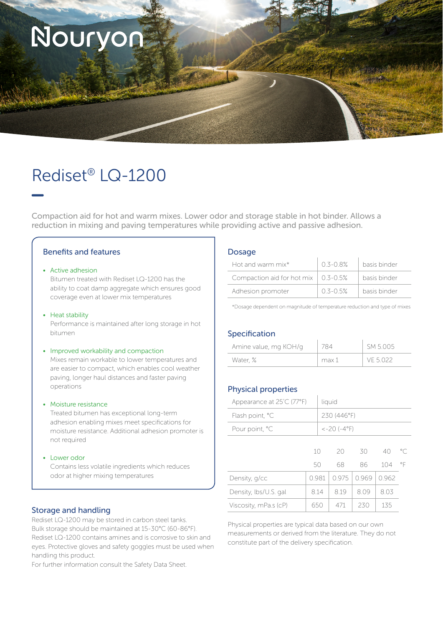

# Rediset® LQ-1200

Compaction aid for hot and warm mixes. Lower odor and storage stable in hot binder. Allows a reduction in mixing and paving temperatures while providing active and passive adhesion.

# Benefits and features

#### • Active adhesion

Bitumen treated with Rediset LQ-1200 has the ability to coat damp aggregate which ensures good coverage even at lower mix temperatures

#### • Heat stability

Performance is maintained after long storage in hot bitumen

#### • Improved workability and compaction

Mixes remain workable to lower temperatures and are easier to compact, which enables cool weather paving, longer haul distances and faster paving operations

#### • Moisture resistance

Treated bitumen has exceptional long-term adhesion enabling mixes meet specifications for moisture resistance. Additional adhesion promoter is not required

#### • Lower odor

Contains less volatile ingredients which reduces odor at higher mixing temperatures

#### Storage and handling

Rediset LQ-1200 may be stored in carbon steel tanks. Bulk storage should be maintained at 15-30°C (60-86°F). Rediset LQ-1200 contains amines and is corrosive to skin and eyes. Protective gloves and safety goggles must be used when handling this product.

For further information consult the Safety Data Sheet.

#### Dosage

| Hot and warm $mix^*$       | 03-08%       | basis binder |
|----------------------------|--------------|--------------|
| Compaction aid for hot mix | 0.3-0.5%     | basis binder |
| Adhesion promoter          | $0.3 - 0.5%$ | basis binder |

\*Dosage dependent on magnitude of temperature reduction and type of mixes

### Specification

| Amine value, mg KOH/g |       | SM 5.005 |
|-----------------------|-------|----------|
| Water, %              | max 1 | VF 5.022 |

# Physical properties

| Appearance at 25°C (77°F) |                          | liquid      |          |          |           |                    |  |
|---------------------------|--------------------------|-------------|----------|----------|-----------|--------------------|--|
| Flash point, °C           |                          | 230 (446°F) |          |          |           |                    |  |
| Pour point, °C            | $<-20$ ( $-4^{\circ}$ F) |             |          |          |           |                    |  |
|                           | 10<br>50                 |             | 20<br>68 | 30<br>86 | 40<br>104 | $^{\circ}$ C<br>°F |  |
| Density, g/cc             | 0.981                    |             | 0975     | 0.969    | 0962      |                    |  |
| Density, Ibs/U.S. gal     | 8.14                     |             | 8.19     | 8.09     | 8.03      |                    |  |
| Viscosity, mPa.s (cP)     | 650                      |             | 471      | 230      | 135       |                    |  |

Physical properties are typical data based on our own measurements or derived from the literature. They do not constitute part of the delivery specification.